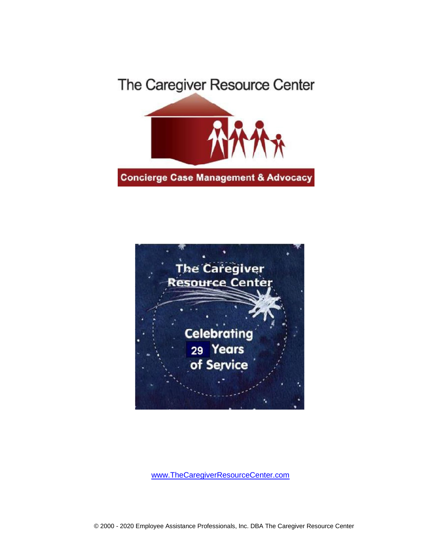



[www.TheCare](www.TheCaregiverResourceCenter.com)giverResourceCenter.com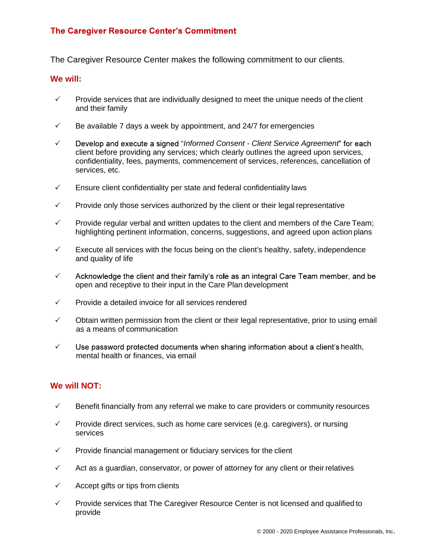## The Caregiver Resource Center's Commitment

The Caregiver Resource Center makes the following commitment to our clients.

#### **We will:**

- $\checkmark$ Provide services that are individually designed to meet the unique needs of the client and their family
- $\checkmark$ Be available 7 days a week by appointment, and 24/7 for emergencies
- $\checkmark$ Develop and execute a signed "*Informed Consent - Client Service Agreement*" for each client before providing any services; which clearly outlines the agreed upon services, confidentiality, fees, payments, commencement of services, references, cancellation of services, etc.
- $\checkmark$ Ensure client confidentiality per state and federal confidentiality laws
- $\checkmark$ Provide only those services authorized by the client or their legal representative
- $\checkmark$ Provide regular verbal and written updates to the client and members of the Care Team; highlighting pertinent information, concerns, suggestions, and agreed upon action plans
- $\checkmark$ Execute all services with the focus being on the client's healthy, safety, independence and quality of life
- $\checkmark$ Acknowledge the client and their family's role as an integral Care Team member, and be open and receptive to their input in the Care Plan development
- $\checkmark$ Provide a detailed invoice for all services rendered
- $\checkmark$ Obtain written permission from the client or their legal representative, prior to using email as a means of communication
- $\checkmark$ Use password protected documents when sharing information about a client's health, mental health or finances, via email

#### **We will NOT:**

- $\checkmark$ Benefit financially from any referral we make to care providers or community resources
- $\checkmark$ Provide direct services, such as home care services (e.g. caregivers), or nursing services
- $\checkmark$ Provide financial management or fiduciary services for the client
- Act as a guardian, conservator, or power of attorney for any client or theirrelatives  $\checkmark$
- $\checkmark$ Accept gifts or tips from clients
- $\checkmark$ Provide services that The Caregiver Resource Center is not licensed and qualified to provide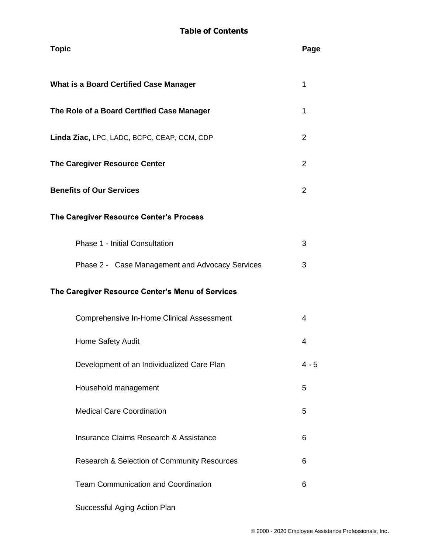# **Table of Contents**

| <b>Topic</b>                                      | Page                                                           |  |
|---------------------------------------------------|----------------------------------------------------------------|--|
| <b>What is a Board Certified Case Manager</b>     | 1                                                              |  |
| The Role of a Board Certified Case Manager        | 1                                                              |  |
| Linda Ziac, LPC, LADC, BCPC, CEAP, CCM, CDP       | 2                                                              |  |
| The Caregiver Resource Center                     | 2<br>2<br>3<br>3<br>4<br>4<br>$4 - 5$<br>5<br>5<br>6<br>6<br>6 |  |
| <b>Benefits of Our Services</b>                   |                                                                |  |
| The Caregiver Resource Center's Process           |                                                                |  |
| Phase 1 - Initial Consultation                    |                                                                |  |
| Phase 2 - Case Management and Advocacy Services   |                                                                |  |
| The Caregiver Resource Center's Menu of Services  |                                                                |  |
| Comprehensive In-Home Clinical Assessment         |                                                                |  |
| Home Safety Audit                                 |                                                                |  |
| Development of an Individualized Care Plan        |                                                                |  |
| Household management                              |                                                                |  |
| <b>Medical Care Coordination</b>                  |                                                                |  |
| <b>Insurance Claims Research &amp; Assistance</b> |                                                                |  |
| Research & Selection of Community Resources       |                                                                |  |
| <b>Team Communication and Coordination</b>        |                                                                |  |
| Successful Aging Action Plan                      |                                                                |  |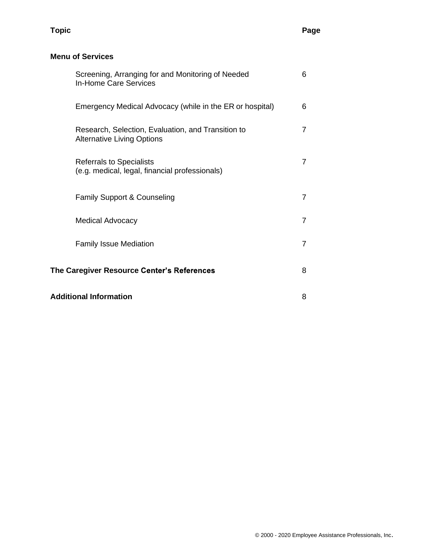# **Menu of Services**

| Screening, Arranging for and Monitoring of Needed<br><b>In-Home Care Services</b>       | 6              |
|-----------------------------------------------------------------------------------------|----------------|
| Emergency Medical Advocacy (while in the ER or hospital)                                | 6              |
| Research, Selection, Evaluation, and Transition to<br><b>Alternative Living Options</b> | 7              |
| <b>Referrals to Specialists</b><br>(e.g. medical, legal, financial professionals)       | $\overline{7}$ |
| Family Support & Counseling                                                             | 7              |
| <b>Medical Advocacy</b>                                                                 | $\overline{7}$ |
| <b>Family Issue Mediation</b>                                                           | $\overline{7}$ |
| The Caregiver Resource Center's References                                              | 8              |
| <b>Additional Information</b>                                                           | 8              |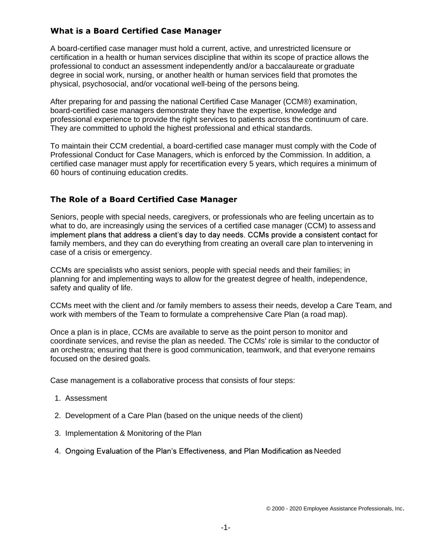# **What is a Board Certified Case Manager**

A board-certified case manager must hold a current, active, and unrestricted licensure or certification in a health or human services discipline that within its scope of practice allows the professional to conduct an assessment independently and/or a baccalaureate or graduate degree in social work, nursing, or another health or human services field that promotes the physical, psychosocial, and/or vocational well-being of the persons being.

After preparing for and passing the national Certified Case Manager (CCM®) examination, board-certified case managers demonstrate they have the expertise, knowledge and professional experience to provide the right services to patients across the continuum of care. They are committed to uphold the highest professional and ethical standards.

To maintain their CCM credential, a board-certified case manager must comply with the Code of Professional Conduct for Case Managers, which is enforced by the Commission. In addition, a certified case manager must apply for recertification every 5 years, which requires a minimum of 60 hours of continuing education credits.

# The Role of a Board Certified Case Manager

Seniors, people with special needs, caregivers, or professionals who are feeling uncertain as to what to do, are increasingly using the services of a certified case manager (CCM) to assessand implement plans that address a client's day to day needs. CCMs provide a consistent contact for family members, and they can do everything from creating an overall care plan to intervening in case of a crisis or emergency.

CCMs are specialists who assist seniors, people with special needs and their families; in planning for and implementing ways to allow for the greatest degree of health, independence, safety and quality of life.

CCMs meet with the client and /or family members to assess their needs, develop a Care Team, and work with members of the Team to formulate a comprehensive Care Plan (a road map).

Once a plan is in place, CCMs are available to serve as the point person to monitor and coordinate services, and revise the plan as needed. The CCMs' role is similar to the conductor of an orchestra; ensuring that there is good communication, teamwork, and that everyone remains focused on the desired goals.

Case management is a collaborative process that consists of four steps:

- 1. Assessment
- 2. Development of a Care Plan (based on the unique needs of the client)
- 3. Implementation & Monitoring of the Plan
- 4. Ongoing Evaluation of the Plan's Effectiveness, and Plan Modification as Needed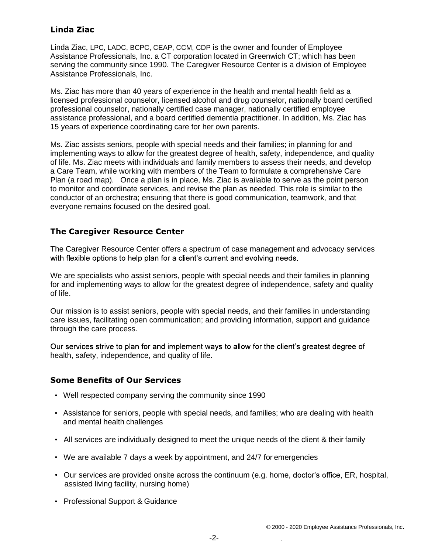# Linda Ziac

Linda Ziac, LPC, LADC, BCPC, CEAP, CCM, CDP is the owner and founder of Employee Assistance Professionals, Inc. a CT corporation located in Greenwich CT; which has been serving the community since 1990. The Caregiver Resource Center is a division of Employee Assistance Professionals, Inc.

Ms. Ziac has more than 40 years of experience in the health and mental health field as a licensed professional counselor, licensed alcohol and drug counselor, nationally board certified professional counselor, nationally certified case manager, nationally certified employee assistance professional, and a board certified dementia practitioner. In addition, Ms. Ziac has 15 years of experience coordinating care for her own parents.

Ms. Ziac assists seniors, people with special needs and their families; in planning for and implementing ways to allow for the greatest degree of health, safety, independence, and quality of life. Ms. Ziac meets with individuals and family members to assess their needs, and develop a Care Team, while working with members of the Team to formulate a comprehensive Care Plan (a road map). Once a plan is in place, Ms. Ziac is available to serve as the point person to monitor and coordinate services, and revise the plan as needed. This role is similar to the conductor of an orchestra; ensuring that there is good communication, teamwork, and that everyone remains focused on the desired goal.

#### **The Caregiver Resource Center**

The Caregiver Resource Center offers a spectrum of case management and advocacy services with flexible options to help plan for a client's current and evolving needs.

We are specialists who assist seniors, people with special needs and their families in planning for and implementing ways to allow for the greatest degree of independence, safety and quality of life.

Our mission is to assist seniors, people with special needs, and their families in understanding care issues, facilitating open communication; and providing information, support and guidance through the care process.

Our services strive to plan for and implement ways to allow for the client's greatest degree of health, safety, independence, and quality of life.

#### **Some Benefits of Our Services**

- Well respected company serving the community since 1990
- Assistance for seniors, people with special needs, and families; who are dealing with health and mental health challenges
- All services are individually designed to meet the unique needs of the client & their family
- We are available 7 days a week by appointment, and 24/7 for emergencies
- $\bullet$  Our services are provided onsite across the continuum (e.g. home, doctor's office, ER, hospital, assisted living facility, nursing home)
- Professional Support & Guidance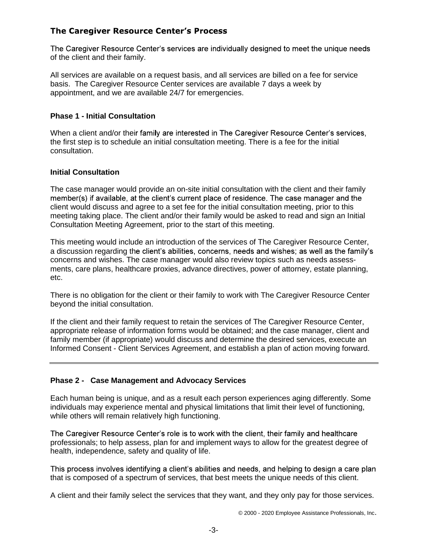# The Caregiver Resource Center's Process

The Caregiver Resource Center's services are individually designed to meet the unique needs of the client and their family.

All services are available on a request basis, and all services are billed on a fee for service basis. The Caregiver Resource Center services are available 7 days a week by appointment, and we are available 24/7 for emergencies.

#### **Phase 1 - Initial Consultation**

When a client and/or their family are interested in The Caregiver Resource Center's services, the first step is to schedule an initial consultation meeting. There is a fee for the initial consultation.

#### **Initial Consultation**

The case manager would provide an on-site initial consultation with the client and their family member(s) if available, at the client's current place of residence. The case manager and the client would discuss and agree to a set fee for the initial consultation meeting, prior to this meeting taking place. The client and/or their family would be asked to read and sign an Initial Consultation Meeting Agreement, prior to the start of this meeting.

This meeting would include an introduction of the services of The Caregiver Resource Center, a discussion regarding the client's abilities, concerns, needs and wishes; as well as the family's concerns and wishes. The case manager would also review topics such as needs assess ments, care plans, healthcare proxies, advance directives, power of attorney, estate planning, etc.

There is no obligation for the client or their family to work with The Caregiver Resource Center beyond the initial consultation.

If the client and their family request to retain the services of The Caregiver Resource Center, appropriate release of information forms would be obtained; and the case manager, client and family member (if appropriate) would discuss and determine the desired services, execute an Informed Consent - Client Services Agreement, and establish a plan of action moving forward.

#### **Phase 2 - Case Management and Advocacy Services**

Each human being is unique, and as a result each person experiences aging differently. Some individuals may experience mental and physical limitations that limit their level of functioning, while others will remain relatively high functioning.

The Caregiver Resource Center's role is to work with the client, their family and healthcare professionals; to help assess, plan for and implement ways to allow for the greatest degree of health, independence, safety and quality of life.

This process involves identifying a client's abilities and needs, and helping to design a care plan that is composed of a spectrum of services, that best meets the unique needs of this client.

A client and their family select the services that they want, and they only pay for those services.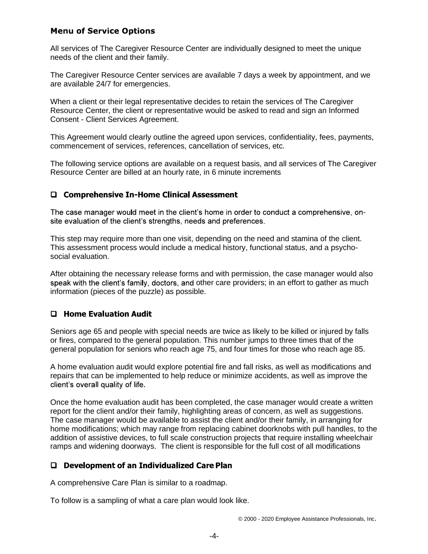# **Menu of Service Options**

All services of The Caregiver Resource Center are individually designed to meet the unique needs of the client and their family.

The Caregiver Resource Center services are available 7 days a week by appointment, and we are available 24/7 for emergencies.

When a client or their legal representative decides to retain the services of The Caregiver Resource Center, the client or representative would be asked to read and sign an Informed Consent - Client Services Agreement.

This Agreement would clearly outline the agreed upon services, confidentiality, fees, payments, commencement of services, references, cancellation of services, etc.

The following service options are available on a request basis, and all services of The Caregiver Resource Center are billed at an hourly rate, in 6 minute increments

#### □ Comprehensive In-Home Clinical Assessment

The case manager would meet in the client's home in order to conduct a comprehensive, onsite evaluation of the client's strengths, needs and preferences.

This step may require more than one visit, depending on the need and stamina of the client. This assessment process would include a medical history, functional status, and a psycho social evaluation.

After obtaining the necessary release forms and with permission, the case manager would also speak with the client's family, doctors, and other care providers; in an effort to gather as much information (pieces of the puzzle) as possible.

#### $\Box$  Home Evaluation Audit

Seniors age 65 and people with special needs are twice as likely to be killed or injured by falls or fires, compared to the general population. This number jumps to three times that of the general population for seniors who reach age 75, and four times for those who reach age 85.

A home evaluation audit would explore potential fire and fall risks, as well as modifications and repairs that can be implemented to help reduce or minimize accidents, as well as improve the client's overall quality of life.

Once the home evaluation audit has been completed, the case manager would create a written report for the client and/or their family, highlighting areas of concern, as well as suggestions. The case manager would be available to assist the client and/or their family, in arranging for home modifications; which may range from replacing cabinet doorknobs with pull handles, to the addition of assistive devices, to full scale construction projects that require installing wheelchair ramps and widening doorways. The client is responsible for the full cost of all modifications

#### $\Box$  Development of an Individualized Care Plan

A comprehensive Care Plan is similar to a roadmap.

To follow is a sampling of what a care plan would look like.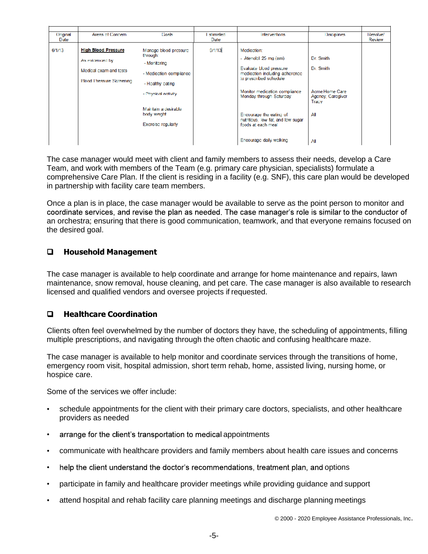| Original<br>Date | Areas of Concern                                                                                           | Goals                                                                                                                                                                                        | I stimated.<br>Dale | Interventions                                                                                                                                                                                                                                                                                             | Disciplines                                                                         | Resolve/<br><b>Review</b> |
|------------------|------------------------------------------------------------------------------------------------------------|----------------------------------------------------------------------------------------------------------------------------------------------------------------------------------------------|---------------------|-----------------------------------------------------------------------------------------------------------------------------------------------------------------------------------------------------------------------------------------------------------------------------------------------------------|-------------------------------------------------------------------------------------|---------------------------|
| 6/1/13           | <b>High Blood Pressure</b><br>As evidenced by<br>Medical exam and tests<br><b>Blood Pressure Screening</b> | Manage blood pressure<br>through:<br>- Monitoring<br>- Medication compliance<br>- Healthy eating<br>- Physical activity<br>Maintain a desirable<br>body weight.<br><b>Exercise regularly</b> | 9/1/13              | Medication:<br>- Atenolol 25 mg (am)<br>Evaluate blood pressure<br>medication including acherence<br>to prescribed schedule<br>Monitor medication compliance<br>Monday through Saturday<br>Encourage the eating of<br>nutritious, low fat, and low sugar<br>foods at each meal<br>Encourage daily walking | Dr. Smith<br>Dr. Smith<br>Acme Home Care<br>Agency, Caregiver<br>Tracv<br>Αll<br>ΛI |                           |

The case manager would meet with client and family members to assess their needs, develop a Care Team, and work with members of the Team (e.g. primary care physician, specialists) formulate a comprehensive Care Plan. If the client is residing in a facility (e.g. SNF), this care plan would be developed in partnership with facility care team members.

Once a plan is in place, the case manager would be available to serve as the point person to monitor and<br>coordinate services, and revise the plan as needed. The case manager's role is similar to the conductor of an orchestra; ensuring that there is good communication, teamwork, and that everyone remains focused on the desired goal.

#### $\Box$ **Household Management**

The case manager is available to help coordinate and arrange for home maintenance and repairs, lawn maintenance, snow removal, house cleaning, and pet care. The case manager is also available to research licensed and qualified vendors and oversee projects if requested.

#### $\Box$ **Healthcare Coordination**

Clients often feel overwhelmed by the number of doctors they have, the scheduling of appointments, filling multiple prescriptions, and navigating through the often chaotic and confusing healthcare maze.

The case manager is available to help monitor and coordinate services through the transitions of home, emergency room visit, hospital admission, short term rehab, home, assisted living, nursing home, or hospice care.

Some of the services we offer include:

- schedule appointments for the client with their primary care doctors, specialists, and other healthcare providers as needed
- arrange for the client's transportation to medical appointments
- communicate with healthcare providers and family members about health care issues and concerns
- help the client understand the doctor's recommendations, treatment plan, and options
- participate in family and healthcare provider meetings while providing guidance and support  $\bullet$
- attend hospital and rehab facility care planning meetings and discharge planning meetings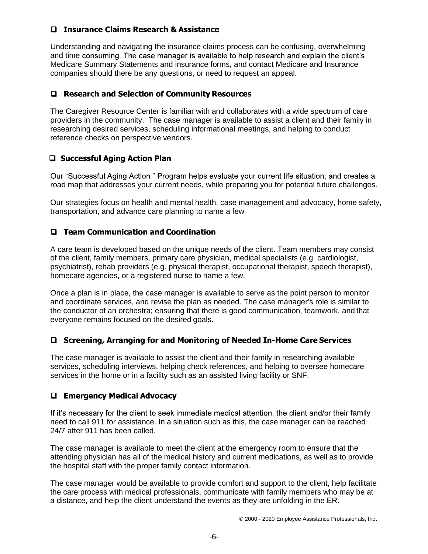## □ Insurance Claims Research & Assistance

Understanding and navigating the insurance claims process can be confusing, overwhelming and time consuming. The case manager is available to help research and explain the client's Medicare Summary Statements and insurance forms, and contact Medicare and Insurance companies should there be any questions, or need to request an appeal.

#### □ Research and Selection of Community Resources

The Caregiver Resource Center is familiar with and collaborates with a wide spectrum of care providers in the community. The case manager is available to assist a client and their family in researching desired services, scheduling informational meetings, and helping to conduct reference checks on perspective vendors.

# □ Successful Aging Action Plan

Our "Successful Aging Action " Program helps evaluate your current life situation, and creates a road map that addresses your current needs, while preparing you for potential future challenges.

Our strategies focus on health and mental health, case management and advocacy, home safety, transportation, and advance care planning to name a few

# $\Box$  Team Communication and Coordination

A care team is developed based on the unique needs of the client. Team members may consist of the client, family members, primary care physician, medical specialists (e.g. cardiologist, psychiatrist), rehab providers (e.g. physical therapist, occupational therapist, speech therapist), homecare agencies, or a registered nurse to name a few.

Once a plan is in place, the case manager is available to serve as the point person to monitor and coordinate services, and revise the plan as needed. The case manager's role is similar to the conductor of an orchestra; ensuring that there is good communication, teamwork, and that everyone remains focused on the desired goals.

#### □ Screening, Arranging for and Monitoring of Needed In-Home Care Services

The case manager is available to assist the client and their family in researching available services, scheduling interviews, helping check references, and helping to oversee homecare services in the home or in a facility such as an assisted living facility or SNF.

#### **Q** Emergency Medical Advocacy

If it's necessary for the client to seek immediate medical attention, the client and/or their family need to call 911 for assistance. In a situation such as this, the case manager can be reached 24/7 after 911 has been called.

The case manager is available to meet the client at the emergency room to ensure that the attending physician has all of the medical history and current medications, as well as to provide the hospital staff with the proper family contact information.

The case manager would be available to provide comfort and support to the client, help facilitate the care process with medical professionals, communicate with family members who may be at a distance, and help the client understand the events as they are unfolding in the ER.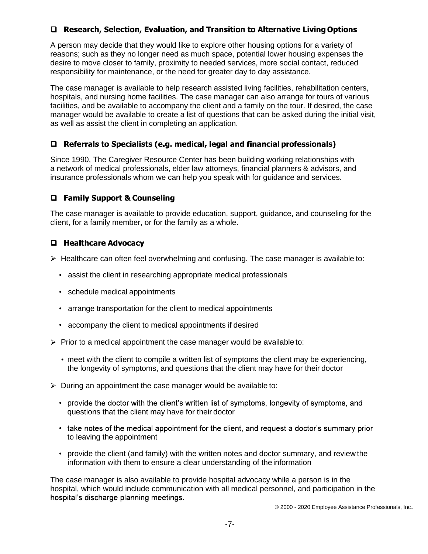#### □ Research, Selection, Evaluation, and Transition to Alternative Living Options

A person may decide that they would like to explore other housing options for a variety of reasons; such as they no longer need as much space, potential lower housing expenses the desire to move closer to family, proximity to needed services, more social contact, reduced responsibility for maintenance, or the need for greater day to day assistance.

The case manager is available to help research assisted living facilities, rehabilitation centers, hospitals, and nursing home facilities. The case manager can also arrange for tours of various facilities, and be available to accompany the client and a family on the tour. If desired, the case manager would be available to create a list of questions that can be asked during the initial visit, as well as assist the client in completing an application.

# $\Box$  Referrals to Specialists (e.g. medical, legal and financial professionals)

Since 1990, The Caregiver Resource Center has been building working relationships with a network of medical professionals, elder law attorneys, financial planners & advisors, and insurance professionals whom we can help you speak with for guidance and services.

# □ Family Support & Counseling

The case manager is available to provide education, support, guidance, and counseling for the client, for a family member, or for the family as a whole.

#### □ Healthcare Advocacy

- $\triangleright$  Healthcare can often feel overwhelming and confusing. The case manager is available to:
	- assist the client in researching appropriate medical professionals
	- schedule medical appointments
	- arrange transportation for the client to medical appointments
	- accompany the client to medical appointments if desired
- $\triangleright$  Prior to a medical appointment the case manager would be available to:
	- meet with the client to compile a written list of symptoms the client may be experiencing, the longevity of symptoms, and questions that the client may have for their doctor
- $\triangleright$  During an appointment the case manager would be available to:
	- provide the doctor with the client's written list of symptoms, longevity of symptoms, and questions that the client may have for their doctor
	- take notes of the medical appointment for the client, and request a doctor's summary prior to leaving the appointment
	- provide the client (and family) with the written notes and doctor summary, and review the information with them to ensure a clear understanding of the information

The case manager is also available to provide hospital advocacy while a person is in the hospital, which would include communication with all medical personnel, and participation in the hospital's discharge planning meetings.